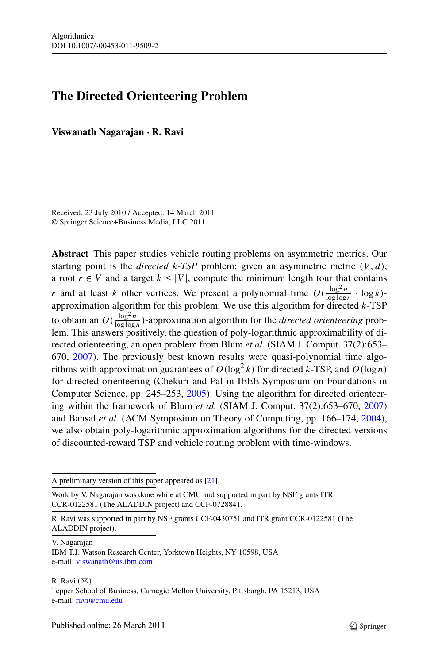# **The Directed Orienteering Problem**

**Viswanath Nagarajan · R. Ravi**

Received: 23 July 2010 / Accepted: 14 March 2011 © Springer Science+Business Media, LLC 2011

**Abstract** This paper studies vehicle routing problems on asymmetric metrics. Our starting point is the *directed k-TSP* problem: given an asymmetric metric *(V,d)*, a root  $r \in V$  and a target  $k \leq |V|$ , compute the minimum length tour that contains *r* and at least *k* other vertices. We present a polynomial time  $O(\frac{\log^2 n}{\log \log n} \cdot \log k)$ approximation algorithm for this problem. We use this algorithm for directed *k*-TSP to obtain an  $O(\frac{\log^2 n}{\log \log n})$ -approximation algorithm for the *directed orienteering* problem. This answers positively, the question of poly-logarithmic approximability of directed orienteering, an open problem from Blum *et al.* (SIAM J. Comput. 37(2):653– 670, [2007](#page-12-0)). The previously best known results were quasi-polynomial time algorithms with approximation guarantees of  $O(\log^2 k)$  for directed *k*-TSP, and  $O(\log n)$ for directed orienteering (Chekuri and Pal in IEEE Symposium on Foundations in Computer Science, pp. 245–253, [2005](#page-12-1)). Using the algorithm for directed orienteering within the framework of Blum *et al.* (SIAM J. Comput. 37(2):653–670, [2007](#page-12-0)) and Bansal *et al.* (ACM Symposium on Theory of Computing, pp. 166–174, [2004\)](#page-12-2), we also obtain poly-logarithmic approximation algorithms for the directed versions of discounted-reward TSP and vehicle routing problem with time-windows.

A preliminary version of this paper appeared as [[21\]](#page-13-0).

Work by V. Nagarajan was done while at CMU and supported in part by NSF grants ITR CCR-0122581 (The ALADDIN project) and CCF-0728841.

V. Nagarajan

R. Ravi  $(\boxtimes)$ Tepper School of Business, Carnegie Mellon University, Pittsburgh, PA 15213, USA e-mail: [ravi@cmu.edu](mailto:ravi@cmu.edu)

R. Ravi was supported in part by NSF grants CCF-0430751 and ITR grant CCR-0122581 (The ALADDIN project).

IBM T.J. Watson Research Center, Yorktown Heights, NY 10598, USA e-mail: [viswanath@us.ibm.com](mailto:viswanath@us.ibm.com)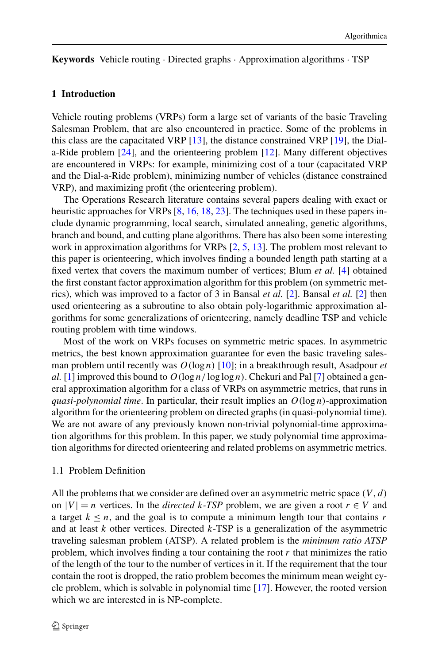**Keywords** Vehicle routing · Directed graphs · Approximation algorithms · TSP

## **1 Introduction**

Vehicle routing problems (VRPs) form a large set of variants of the basic Traveling Salesman Problem, that are also encountered in practice. Some of the problems in this class are the capacitated VRP [[13\]](#page-12-3), the distance constrained VRP [[19\]](#page-12-4), the Diala-Ride problem [[24\]](#page-13-1), and the orienteering problem [[12](#page-12-5)]. Many different objectives are encountered in VRPs: for example, minimizing cost of a tour (capacitated VRP and the Dial-a-Ride problem), minimizing number of vehicles (distance constrained VRP), and maximizing profit (the orienteering problem).

The Operations Research literature contains several papers dealing with exact or heuristic approaches for VRPs [[8,](#page-12-6) [16](#page-12-7), [18,](#page-12-8) [23](#page-13-2)]. The techniques used in these papers include dynamic programming, local search, simulated annealing, genetic algorithms, branch and bound, and cutting plane algorithms. There has also been some interesting work in approximation algorithms for VRPs  $[2, 5, 13]$  $[2, 5, 13]$  $[2, 5, 13]$  $[2, 5, 13]$  $[2, 5, 13]$  $[2, 5, 13]$ . The problem most relevant to this paper is orienteering, which involves finding a bounded length path starting at a fixed vertex that covers the maximum number of vertices; Blum *et al.* [[4\]](#page-12-0) obtained the first constant factor approximation algorithm for this problem (on symmetric metrics), which was improved to a factor of 3 in Bansal *et al.* [\[2](#page-12-2)]. Bansal *et al.* [\[2](#page-12-2)] then used orienteering as a subroutine to also obtain poly-logarithmic approximation algorithms for some generalizations of orienteering, namely deadline TSP and vehicle routing problem with time windows.

Most of the work on VRPs focuses on symmetric metric spaces. In asymmetric metrics, the best known approximation guarantee for even the basic traveling salesman problem until recently was  $O(\log n)$  [[10\]](#page-12-10); in a breakthrough result, Asadpour *et al.* [\[1](#page-12-11)] improved this bound to  $O(\log n / \log \log n)$ . Chekuri and Pal [\[7](#page-12-1)] obtained a general approximation algorithm for a class of VRPs on asymmetric metrics, that runs in *quasi-polynomial time.* In particular, their result implies an  $O(\log n)$ -approximation algorithm for the orienteering problem on directed graphs (in quasi-polynomial time). We are not aware of any previously known non-trivial polynomial-time approximation algorithms for this problem. In this paper, we study polynomial time approximation algorithms for directed orienteering and related problems on asymmetric metrics.

# 1.1 Problem Definition

All the problems that we consider are defined over an asymmetric metric space *(V,d)* on  $|V| = n$  vertices. In the *directed*  $k$ *-TSP* problem, we are given a root  $r \in V$  and a target  $k \leq n$ , and the goal is to compute a minimum length tour that contains *r* and at least *k* other vertices. Directed *k*-TSP is a generalization of the asymmetric traveling salesman problem (ATSP). A related problem is the *minimum ratio ATSP* problem, which involves finding a tour containing the root *r* that minimizes the ratio of the length of the tour to the number of vertices in it. If the requirement that the tour contain the root is dropped, the ratio problem becomes the minimum mean weight cycle problem, which is solvable in polynomial time [[17\]](#page-12-12). However, the rooted version which we are interested in is NP-complete.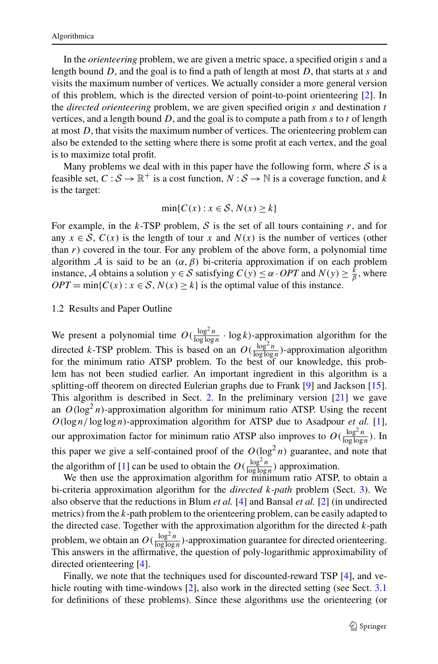In the *orienteering* problem, we are given a metric space, a specified origin *s* and a length bound *D*, and the goal is to find a path of length at most *D*, that starts at *s* and visits the maximum number of vertices. We actually consider a more general version of this problem, which is the directed version of point-to-point orienteering [\[2](#page-12-2)]. In the *directed orienteering* problem, we are given specified origin *s* and destination *t* vertices, and a length bound *D*, and the goal is to compute a path from *s* to *t* of length at most *D*, that visits the maximum number of vertices. The orienteering problem can also be extended to the setting where there is some profit at each vertex, and the goal is to maximize total profit.

Many problems we deal with in this paper have the following form, where  $S$  is a feasible set,  $C : \mathcal{S} \to \mathbb{R}^+$  is a cost function,  $N : \mathcal{S} \to \mathbb{N}$  is a coverage function, and k is the target:

$$
\min\{C(x) : x \in S, N(x) \ge k\}
$$

For example, in the  $k$ -TSP problem,  $S$  is the set of all tours containing  $r$ , and for any  $x \in S$ ,  $C(x)$  is the length of tour x and  $N(x)$  is the number of vertices (other than  $r$ ) covered in the tour. For any problem of the above form, a polynomial time algorithm A is said to be an  $(\alpha, \beta)$  bi-criteria approximation if on each problem instance, A obtains a solution  $y \in S$  satisfying  $C(y) \le \alpha \cdot OPT$  and  $N(y) \ge \frac{k}{\beta}$ , where  $OPT = \min\{C(x) : x \in S, N(x) \ge k\}$  is the optimal value of this instance.

#### 1.2 Results and Paper Outline

We present a polynomial time  $O(\frac{\log^2 n}{\log \log n} \cdot \log k)$ -approximation algorithm for the directed *k*-TSP problem. This is based on an  $O(\frac{\log^2 n}{\log \log n})$ -approximation algorithm for the minimum ratio ATSP problem. To the best of our knowledge, this problem has not been studied earlier. An important ingredient in this algorithm is a splitting-off theorem on directed Eulerian graphs due to Frank [\[9](#page-12-13)] and Jackson [[15\]](#page-12-14). This algorithm is described in Sect. [2](#page-3-0). In the preliminary version [\[21](#page-13-0)] we gave an  $O(log<sup>2</sup> n)$ -approximation algorithm for minimum ratio ATSP. Using the recent  $O(\log n / \log \log n)$ -approximation algorithm for ATSP due to Asadpour *et al.* [[1\]](#page-12-11), our approximation factor for minimum ratio ATSP also improves to  $O(\frac{\log^2 n}{\log \log n})$ . In this paper we give a self-contained proof of the  $O(\log^2 n)$  guarantee, and note that the algorithm of [[1\]](#page-12-11) can be used to obtain the  $O(\frac{\log^2 n}{\log \log n})$  approximation.

We then use the approximation algorithm for minimum ratio ATSP, to obtain a bi-criteria approximation algorithm for the *directed k-path* problem (Sect. [3\)](#page-9-0). We also observe that the reductions in Blum *et al.* [[4\]](#page-12-0) and Bansal *et al.* [\[2](#page-12-2)] (in undirected metrics) from the *k*-path problem to the orienteering problem, can be easily adapted to the directed case. Together with the approximation algorithm for the directed *k*-path problem, we obtain an  $O(\frac{\log^2 n}{\log \log n})$ -approximation guarantee for directed orienteering. This answers in the affirmative, the question of poly-logarithmic approximability of directed orienteering [\[4](#page-12-0)].

Finally, we note that the techniques used for discounted-reward TSP [\[4](#page-12-0)], and ve-hicle routing with time-windows [\[2](#page-12-2)], also work in the directed setting (see Sect. [3.1](#page-11-0)) for definitions of these problems). Since these algorithms use the orienteering (or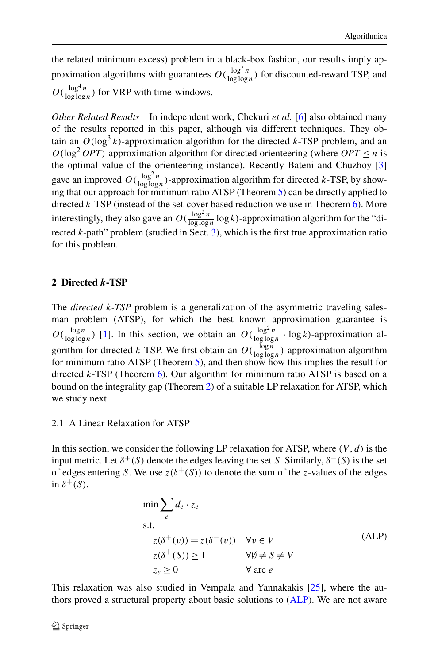the related minimum excess) problem in a black-box fashion, our results imply approximation algorithms with guarantees  $O(\frac{\log^2 n}{\log \log n})$  for discounted-reward TSP, and  $O(\frac{\log^4 n}{\log \log n})$  for VRP with time-windows.

*Other Related Results* In independent work, Chekuri *et al.* [\[6](#page-12-15)] also obtained many of the results reported in this paper, although via different techniques. They obtain an  $O(\log^3 k)$ -approximation algorithm for the directed *k*-TSP problem, and an  $O(\log^2 OPT)$ -approximation algorithm for directed orienteering (where  $OPT \le n$  is the optimal value of the orienteering instance). Recently Bateni and Chuzhoy [\[3](#page-12-16)] gave an improved  $O(\frac{\log^2 n}{\log \log n})$ -approximation algorithm for directed *k*-TSP, by showing that our approach for minimum ratio ATSP (Theorem [5](#page-7-0)) can be directly applied to directed *k*-TSP (instead of the set-cover based reduction we use in Theorem [6\)](#page-8-0). More interestingly, they also gave an  $O(\frac{\log^2 n}{\log \log n} \log k)$ -approximation algorithm for the "directed *k*-path" problem (studied in Sect. [3\)](#page-9-0), which is the first true approximation ratio for this problem.

# <span id="page-3-0"></span>**2 Directed** *k***-TSP**

The *directed k-TSP* problem is a generalization of the asymmetric traveling salesman problem (ATSP), for which the best known approximation guarantee is  $O(\frac{\log n}{\log \log n})$  [\[1](#page-12-11)]. In this section, we obtain an  $O(\frac{\log^2 n}{\log \log n} \cdot \log k)$ -approximation algorithm for directed *k*-TSP. We first obtain an  $O(\frac{\log n}{\log \log n})$ -approximation algorithm for minimum ratio ATSP (Theorem [5\)](#page-7-0), and then show how this implies the result for directed *k*-TSP (Theorem [6\)](#page-8-0). Our algorithm for minimum ratio ATSP is based on a bound on the integrality gap (Theorem [2\)](#page-4-0) of a suitable LP relaxation for ATSP, which we study next.

# 2.1 A Linear Relaxation for ATSP

<span id="page-3-1"></span>In this section, we consider the following LP relaxation for ATSP, where  $(V, d)$  is the input metric. Let  $\delta^+(S)$  denote the edges leaving the set *S*. Similarly,  $\delta^-(S)$  is the set of edges entering *S*. We use  $z(\delta^+(S))$  to denote the sum of the *z*-values of the edges in  $\delta^+(S)$ .

$$
\min \sum_{e} d_e \cdot z_e
$$
\ns.t.  
\n
$$
z(\delta^+(v)) = z(\delta^-(v)) \quad \forall v \in V
$$
  
\n
$$
z(\delta^+(S)) \ge 1 \qquad \forall \emptyset \ne S \ne V
$$
  
\n
$$
z_e \ge 0 \qquad \forall \text{arc } e
$$
\n(ALP)

This relaxation was also studied in Vempala and Yannakakis [[25\]](#page-13-3), where the authors proved a structural property about basic solutions to ([ALP\)](#page-3-1). We are not aware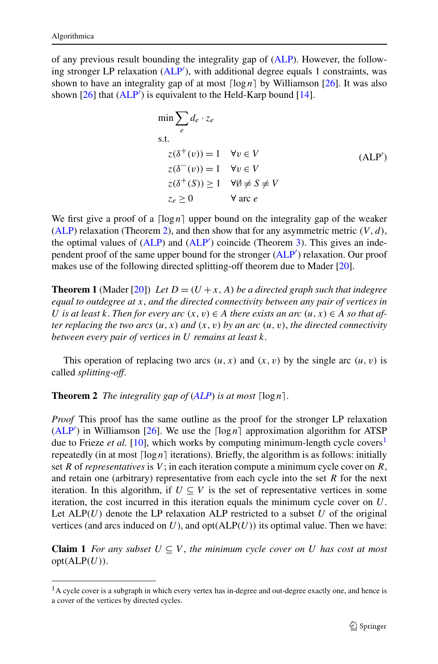<span id="page-4-1"></span>of any previous result bounding the integrality gap of [\(ALP](#page-3-1)). However, the follow-ing stronger LP relaxation [\(ALP](#page-4-1)<sup>'</sup>), with additional degree equals 1 constraints, was shown to have an integrality gap of at most  $\lceil \log n \rceil$  by Williamson [\[26](#page-13-4)]. It was also shown  $[26]$  $[26]$  that  $(ALP')$  $(ALP')$  $(ALP')$  is equivalent to the Held-Karp bound  $[14]$  $[14]$ .

$$
\min \sum_{e} d_e \cdot z_e
$$
\ns.t.\n
$$
z(\delta^+(v)) = 1 \quad \forall v \in V
$$
\n
$$
z(\delta^-(v)) = 1 \quad \forall v \in V
$$
\n
$$
z(\delta^+(S)) \ge 1 \quad \forall \emptyset \ne S \ne V
$$
\n
$$
z_e \ge 0 \qquad \forall \text{ arc } e
$$
\n(ALP')

<span id="page-4-3"></span>We first give a proof of a  $\lceil \log n \rceil$  upper bound on the integrality gap of the weaker [\(ALP\)](#page-3-1) relaxation (Theorem [2](#page-4-0)), and then show that for any asymmetric metric *(V,d)*, the optimal values of ([ALP\)](#page-3-1) and ([ALP](#page-4-1)<sup>'</sup>) coincide (Theorem [3](#page-6-0)). This gives an inde-pendent proof of the same upper bound for the stronger [\(ALP](#page-4-1)<sup>'</sup>) relaxation. Our proof makes use of the following directed splitting-off theorem due to Mader [\[20](#page-13-5)].

<span id="page-4-0"></span>**Theorem 1** (Mader [[20\]](#page-13-5)) Let  $D = (U + x, A)$  be a directed graph such that indegree *equal to outdegree at x*, *and the directed connectivity between any pair of vertices in U is at least k*. *Then for every arc*  $(x, v) \in A$  *there exists an arc*  $(u, x) \in A$  *so that after replacing the two arcs*  $(u, x)$  *and*  $(x, v)$  *by an arc*  $(u, v)$ *, the directed connectivity between every pair of vertices in U remains at least k*.

This operation of replacing two arcs  $(u, x)$  and  $(x, v)$  by the single arc  $(u, v)$  is called *splitting-off*.

**Theorem 2** *The integrality gap of*  $(ALP)$  $(ALP)$  $(ALP)$  *is at most*  $\lceil \log n \rceil$ *.* 

*Proof* This proof has the same outline as the proof for the stronger LP relaxation  $(ALP')$  $(ALP')$  in Williamson [\[26](#page-13-4)]. We use the  $\lceil \log n \rceil$  approximation algorithm for ATSP due to Frieze *et al.* [[10\]](#page-12-10), which works by computing minimum-length cycle covers<sup>[1](#page-4-2)</sup> repeatedly (in at most  $\lceil \log n \rceil$  iterations). Briefly, the algorithm is as follows: initially set *R* of *representatives* is *V* ; in each iteration compute a minimum cycle cover on *R*, and retain one (arbitrary) representative from each cycle into the set *R* for the next iteration. In this algorithm, if  $U \subseteq V$  is the set of representative vertices in some iteration, the cost incurred in this iteration equals the minimum cycle cover on *U*. Let  $ALP(U)$  denote the LP relaxation ALP restricted to a subset *U* of the original vertices (and arcs induced on  $U$ ), and  $opt(ALP(U))$  its optimal value. Then we have:

<span id="page-4-2"></span>**Claim 1** *For any subset*  $U \subseteq V$ , *the minimum cycle cover on U has cost at most*  $opt(ALP(U)).$ 

<sup>&</sup>lt;sup>1</sup>A cycle cover is a subgraph in which every vertex has in-degree and out-degree exactly one, and hence is a cover of the vertices by directed cycles.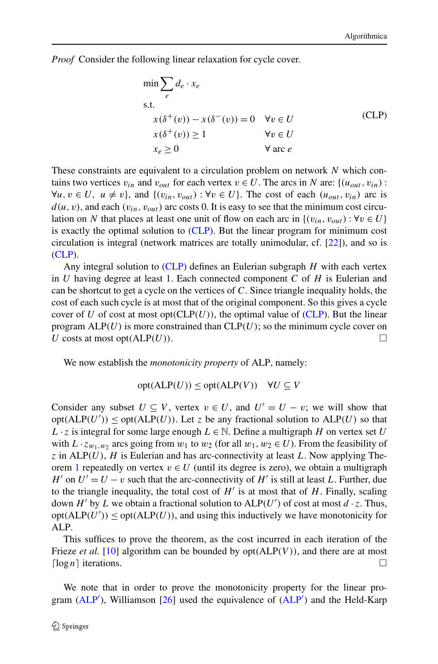<span id="page-5-0"></span>*Proof* Consider the following linear relaxation for cycle cover.

$$
\min \sum_{e} d_e \cdot x_e
$$
\ns.t.\n
$$
x(\delta^+(v)) - x(\delta^-(v)) = 0 \quad \forall v \in U
$$
\n
$$
x(\delta^+(v)) \ge 1 \qquad \forall v \in U
$$
\n
$$
x_e \ge 0 \qquad \forall \text{ arc } e
$$
\n(CLP)

These constraints are equivalent to a circulation problem on network *N* which contains two vertices  $v_{in}$  and  $v_{out}$  for each vertex  $v \in U$ . The arcs in *N* are: { $(u_{out}, v_{in})$  :  $\forall u, v \in U$ ,  $u \neq v$ , and  $\{(v_{in}, v_{out}) : \forall v \in U\}$ . The cost of each  $(u_{out}, v_{in})$  arc is  $d(u, v)$ , and each  $(v_{in}, v_{out})$  arc costs 0. It is easy to see that the minimum cost circulation on *N* that places at least one unit of flow on each arc in  $\{(v_{in}, v_{out}) : \forall v \in U\}$ is exactly the optimal solution to [\(CLP\)](#page-5-0). But the linear program for minimum cost circulation is integral (network matrices are totally unimodular, cf. [[22\]](#page-13-6)), and so is [\(CLP](#page-5-0)).

Any integral solution to ([CLP](#page-5-0)) defines an Eulerian subgraph *H* with each vertex in *U* having degree at least 1. Each connected component *C* of *H* is Eulerian and can be shortcut to get a cycle on the vertices of *C*. Since triangle inequality holds, the cost of each such cycle is at most that of the original component. So this gives a cycle cover of *U* of cost at most opt $(CLP(U))$  $(CLP(U))$  $(CLP(U))$ , the optimal value of  $(CLP)$ . But the linear program  $ALP(U)$  is more constrained than  $CLP(U)$ ; so the minimum cycle cover on *U* costs at most opt $(ALP(U))$ .

We now establish the *monotonicity property* of ALP, namely:

$$
opt(ALP(U)) \le opt(ALP(V)) \quad \forall U \subseteq V
$$

Consider any subset  $U \subseteq V$ , vertex  $v \in U$ , and  $U' = U - v$ ; we will show that  $opt(ALP(U')) \leq opt(ALP(U))$ . Let *z* be any fractional solution to  $ALP(U)$  so that *L* ⋅ *z* is integral for some large enough *L* ∈ N. Define a multigraph *H* on vertex set *U* with  $L \cdot z_{w_1,w_2}$  arcs going from  $w_1$  to  $w_2$  (for all  $w_1, w_2 \in U$ ). From the feasibility of *z* in ALP*(U)*, *H* is Eulerian and has arc-connectivity at least *L*. Now applying The-orem [1](#page-4-3) repeatedly on vertex  $v \in U$  (until its degree is zero), we obtain a multigraph *H*<sup> $\prime$ </sup> on  $U' = U - v$  such that the arc-connectivity of *H*<sup> $\prime$ </sup> is still at least *L*. Further, due to the triangle inequality, the total cost of  $H'$  is at most that of  $H$ . Finally, scaling down  $H'$  by  $L$  we obtain a fractional solution to  $ALP(U')$  of cost at most  $d \cdot z$ . Thus,  $opt(ALP(U')) \leq opt(ALP(U))$ , and using this inductively we have monotonicity for ALP.

This suffices to prove the theorem, as the cost incurred in each iteration of the Frieze *et al.* [\[10](#page-12-10)] algorithm can be bounded by opt*(*ALP*(V ))*, and there are at most  $\lceil \log n \rceil$  iterations.  $\Box$ 

We note that in order to prove the monotonicity property for the linear program  $(ALP')$  $(ALP')$ , Williamson [\[26](#page-13-4)] used the equivalence of  $(ALP')$  $(ALP')$  $(ALP')$  and the Held-Karp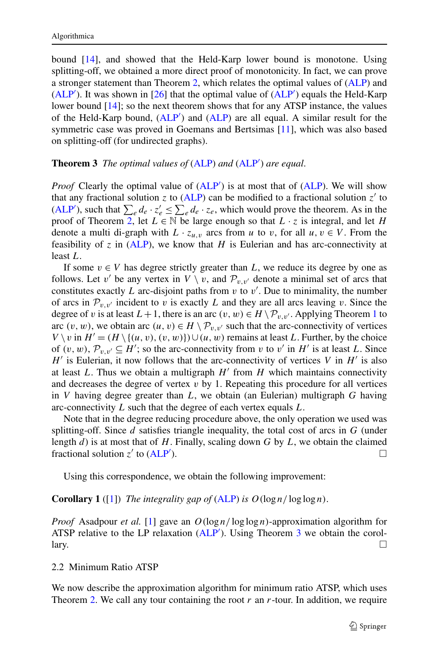<span id="page-6-0"></span>bound [\[14](#page-12-17)], and showed that the Held-Karp lower bound is monotone. Using splitting-off, we obtained a more direct proof of monotonicity. In fact, we can prove a stronger statement than Theorem [2](#page-4-0), which relates the optimal values of [\(ALP](#page-3-1)) and  $(ALP')$  $(ALP')$ . It was shown in [[26\]](#page-13-4) that the optimal value of  $(ALP')$  equals the Held-Karp lower bound [[14\]](#page-12-17); so the next theorem shows that for any ATSP instance, the values of the Held-Karp bound, [\(ALP](#page-4-1)<sup>'</sup>) and [\(ALP\)](#page-3-1) are all equal. A similar result for the symmetric case was proved in Goemans and Bertsimas [[11\]](#page-12-18), which was also based on splitting-off (for undirected graphs).

# **Theorem 3** *The optimal values of* [\(ALP](#page-3-1)) and ([ALP](#page-4-1)<sup>'</sup>) are equal.

*Proof* Clearly the optimal value of  $(ALP')$  $(ALP')$  is at most that of  $(ALP)$  $(ALP)$ . We will show that any fractional solution *z* to [\(ALP](#page-3-1)) can be modified to a fractional solution  $z'$  to [\(ALP](#page-4-1)<sup>'</sup>), such that  $\sum_e d_e \cdot z'_e \leq \sum_e d_e \cdot z_e$ , which would prove the theorem. As in the proof of Theorem [2,](#page-4-0) let  $L \in \mathbb{N}$  be large enough so that  $L \cdot z$  is integral, and let *H* denote a multi di-graph with  $L \cdot z_{u,v}$  arcs from *u* to *v*, for all  $u, v \in V$ . From the feasibility of  $z$  in [\(ALP](#page-3-1)), we know that  $H$  is Eulerian and has arc-connectivity at least *L*.

If some  $v \in V$  has degree strictly greater than *L*, we reduce its degree by one as follows. Let *v'* be any vertex in  $V \setminus v$ , and  $\mathcal{P}_{v,v'}$  denote a minimal set of arcs that constitutes exactly  $L$  arc-disjoint paths from  $v$  to  $v'$ . Due to minimality, the number of arcs in  $\mathcal{P}_{v,v'}$  incident to *v* is exactly *L* and they are all arcs leaving *v*. Since the degree of *v* is at least  $L + 1$  $L + 1$ , there is an arc  $(v, w) \in H \setminus \mathcal{P}_{v, v'}$ . Applying Theorem 1 to arc  $(v, w)$ , we obtain arc  $(u, v) \in H \setminus \mathcal{P}_{v, v'}$  such that the arc-connectivity of vertices *V* \ *v* in *H*<sup> $′$ </sup> =  $(H \setminus \{(u, v), (v, w)\}) \cup (u, w)$  remains at least *L*. Further, by the choice of  $(v, w)$ ,  $\mathcal{P}_{v,v'} \subseteq H'$ ; so the arc-connectivity from *v* to *v'* in *H'* is at least *L*. Since  $H'$  is Eulerian, it now follows that the arc-connectivity of vertices *V* in  $H'$  is also at least  $L$ . Thus we obtain a multigraph  $H'$  from  $H$  which maintains connectivity and decreases the degree of vertex  $v$  by 1. Repeating this procedure for all vertices in *V* having degree greater than *L*, we obtain (an Eulerian) multigraph *G* having arc-connectivity *L* such that the degree of each vertex equals *L*.

<span id="page-6-1"></span>Note that in the degree reducing procedure above, the only operation we used was splitting-off. Since *d* satisfies triangle inequality, the total cost of arcs in *G* (under length *d*) is at most that of *H*. Finally, scaling down *G* by *L*, we obtain the claimed fractional solution  $z'$  to  $(ALP')$  $(ALP')$ . ).  $\Box$ 

Using this correspondence, we obtain the following improvement:

#### **Corollary 1** ([[1\]](#page-12-11)) *The integrality gap of* [\(ALP\)](#page-3-1) *is*  $O(\log n / \log \log n)$ .

*Proof* Asadpour *et al.* [\[1](#page-12-11)] gave an  $O(\log n / \log \log n)$ -approximation algorithm for ATSP relative to the LP relaxation ([ALP](#page-4-1)'). Using Theorem [3](#page-6-0) we obtain the corol- $\Box$  $\Box$ 

# 2.2 Minimum Ratio ATSP

We now describe the approximation algorithm for minimum ratio ATSP, which uses Theorem [2.](#page-4-0) We call any tour containing the root *r* an *r*-tour. In addition, we require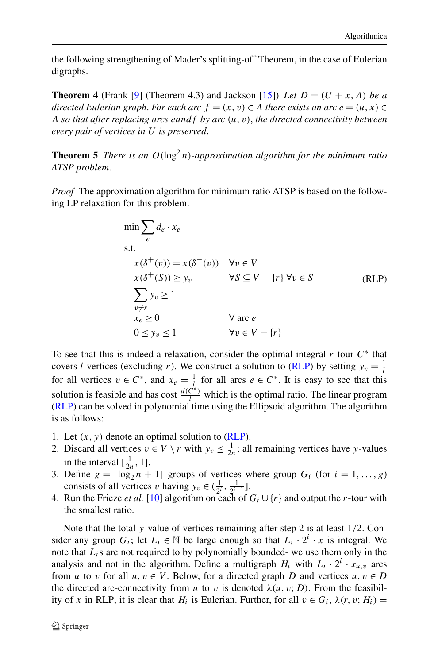<span id="page-7-2"></span><span id="page-7-0"></span>the following strengthening of Mader's splitting-off Theorem, in the case of Eulerian digraphs.

**Theorem 4** (Frank [[9\]](#page-12-13) (Theorem 4.3) and Jackson [\[15](#page-12-14)]) Let  $D = (U + x, A)$  be a *directed Eulerian graph. For each arc*  $f = (x, v) \in A$  *there exists an arc*  $e = (u, x) \in A$ *A so that after replacing arcs eandf by arc (u,v)*, *the directed connectivity between every pair of vertices in U is preserved*.

**Theorem 5** *There is an*  $O(log^2 n)$ *-approximation algorithm for the minimum ratio ATSP problem*.

<span id="page-7-1"></span>*Proof* The approximation algorithm for minimum ratio ATSP is based on the following LP relaxation for this problem.

$$
\min \sum_{e} d_e \cdot x_e
$$
\ns.t.\n
$$
x(\delta^+(v)) = x(\delta^-(v)) \quad \forall v \in V
$$
\n
$$
x(\delta^+(S)) \ge y_v \qquad \forall S \subseteq V - \{r\} \forall v \in S
$$
\n
$$
\sum_{v \ne r} y_v \ge 1
$$
\n
$$
x_e \ge 0 \qquad \forall \text{ arc } e
$$
\n
$$
0 \le y_v \le 1 \qquad \forall v \in V - \{r\}
$$

To see that this is indeed a relaxation, consider the optimal integral *r*-tour *C*<sup>∗</sup> that covers *l* vertices (excluding *r*). We construct a solution to ([RLP](#page-7-1)) by setting  $y_v = \frac{1}{l}$ for all vertices  $v \in C^*$ , and  $x_e = \frac{1}{l}$  for all arcs  $e \in C^*$ . It is easy to see that this solution is feasible and has cost  $\frac{d(C^*)}{l}$  which is the optimal ratio. The linear program [\(RLP](#page-7-1)) can be solved in polynomial time using the Ellipsoid algorithm. The algorithm is as follows:

- 1. Let  $(x, y)$  denote an optimal solution to  $(RLP)$  $(RLP)$ .
- 2. Discard all vertices  $v \in V \setminus r$  with  $y_v \leq \frac{1}{2n}$ ; all remaining vertices have *y*-values in the interval  $\left[\frac{1}{2n}, 1\right]$ .
- 3. Define  $g = \lceil \log_2 n + 1 \rceil$  groups of vertices where group  $G_i$  (for  $i = 1, ..., g$ ) consists of all vertices *v* having  $y_v \in (\frac{1}{2^i}, \frac{1}{2^{i-1}}]$ .
- 4. Run the Frieze *et al.* [\[10](#page-12-10)] algorithm on each of  $G_i \cup \{r\}$  and output the *r*-tour with the smallest ratio.

Note that the total *y*-value of vertices remaining after step 2 is at least 1*/*2. Consider any group  $G_i$ ; let  $L_i \in \mathbb{N}$  be large enough so that  $L_i \cdot 2^i \cdot x$  is integral. We note that  $L_i$ s are not required to by polynomially bounded- we use them only in the analysis and not in the algorithm. Define a multigraph  $H_i$  with  $L_i \cdot 2^i \cdot x_{u,v}$  arcs from *u* to *v* for all  $u, v \in V$ . Below, for a directed graph *D* and vertices  $u, v \in D$ the directed arc-connectivity from *u* to *v* is denoted  $\lambda(u, v; D)$ . From the feasibility of *x* in RLP, it is clear that  $H_i$  is Eulerian. Further, for all  $v \in G_i$ ,  $\lambda(r, v; H_i)$  =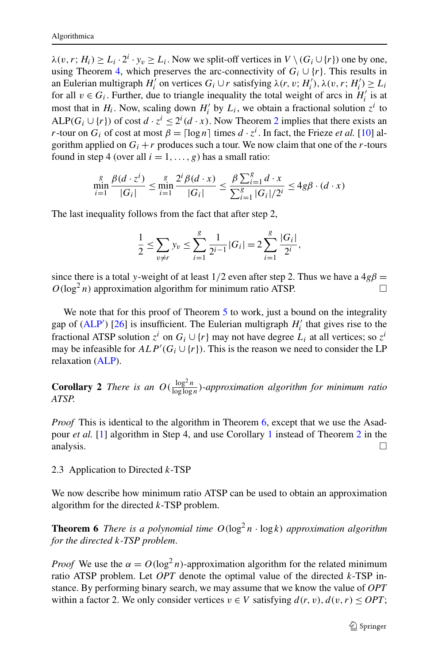$\lambda(v, r; H_i) \ge L_i \cdot 2^i \cdot y_v \ge L_i$ . Now we split-off vertices in  $V \setminus (G_i \cup \{r\})$  one by one, using Theorem [4,](#page-7-2) which preserves the arc-connectivity of  $G_i \cup \{r\}$ . This results in an Eulerian multigraph *H*<sup>*i*</sup> on vertices  $G_i \cup r$  satisfying  $\lambda(r, v; H_i')$ ,  $\lambda(v, r; H_i') \ge L_i$ for all  $v \in G_i$ . Further, due to triangle inequality the total weight of arcs in  $H'_i$  is at most that in  $H_i$ . Now, scaling down  $H'_i$  by  $L_i$ , we obtain a fractional solution  $z^i$  to ALP( $G_i \cup \{r\}$ ) of cost  $d \cdot z^i \leq 2^i (d \cdot x)$  $d \cdot z^i \leq 2^i (d \cdot x)$  $d \cdot z^i \leq 2^i (d \cdot x)$ . Now Theorem 2 implies that there exists an *r*-tour on  $G_i$  of cost at most  $\beta = \lceil \log n \rceil$  times  $d \cdot z^i$ . In fact, the Frieze *et al.* [\[10](#page-12-10)] algorithm applied on  $G_i + r$  produces such a tour. We now claim that one of the *r*-tours found in step 4 (over all  $i = 1, \ldots, g$ ) has a small ratio:

$$
\min_{i=1}^{g} \frac{\beta(d \cdot z^{i})}{|G_{i}|} \le \min_{i=1}^{g} \frac{2^{i} \beta(d \cdot x)}{|G_{i}|} \le \frac{\beta \sum_{i=1}^{g} d \cdot x}{\sum_{i=1}^{g} |G_{i}|/2^{i}} \le 4g\beta \cdot (d \cdot x)
$$

The last inequality follows from the fact that after step 2,

$$
\frac{1}{2} \le \sum_{v \ne r} y_v \le \sum_{i=1}^g \frac{1}{2^{i-1}} |G_i| = 2 \sum_{i=1}^g \frac{|G_i|}{2^i},
$$

since there is a total *y*-weight of at least  $1/2$  even after step 2. Thus we have a  $4g\beta =$  $O(\log^2 n)$  approximation algorithm for minimum ratio ATSP.

<span id="page-8-1"></span>We note that for this proof of Theorem [5](#page-7-0) to work, just a bound on the integrality gap of  $(ALP')$  $(ALP')$  $(ALP')$  [[26\]](#page-13-4) is insufficient. The Eulerian multigraph  $H'_i$  that gives rise to the fractional ATSP solution  $z^i$  on  $G_i \cup \{r\}$  may not have degree  $L_i$  at all vertices; so  $z^i$ may be infeasible for  $ALP'(G_i \cup \{r\})$ . This is the reason we need to consider the LP relaxation [\(ALP](#page-3-1)).

**Corollary 2** *There is an*  $O(\frac{\log^2 n}{\log \log n})$ *-approximation algorithm for minimum ratio ATSP*.

<span id="page-8-0"></span>*Proof* This is identical to the algorithm in Theorem [6,](#page-8-0) except that we use the Asadpour *et al.* [[1\]](#page-12-11) algorithm in Step 4, and use Corollary [1](#page-6-1) instead of Theorem [2](#page-4-0) in the analysis.  $\Box$ 

#### 2.3 Application to Directed *k*-TSP

We now describe how minimum ratio ATSP can be used to obtain an approximation algorithm for the directed *k*-TSP problem.

**Theorem 6** *There is a polynomial time*  $O(log^2 n \cdot log k)$  *approximation algorithm for the directed k-TSP problem*.

*Proof* We use the  $\alpha = O(\log^2 n)$ -approximation algorithm for the related minimum ratio ATSP problem. Let *OPT* denote the optimal value of the directed *k*-TSP instance. By performing binary search, we may assume that we know the value of *OPT* within a factor 2. We only consider vertices  $v \in V$  satisfying  $d(r, v)$ ,  $d(v, r) \leq OPT$ ;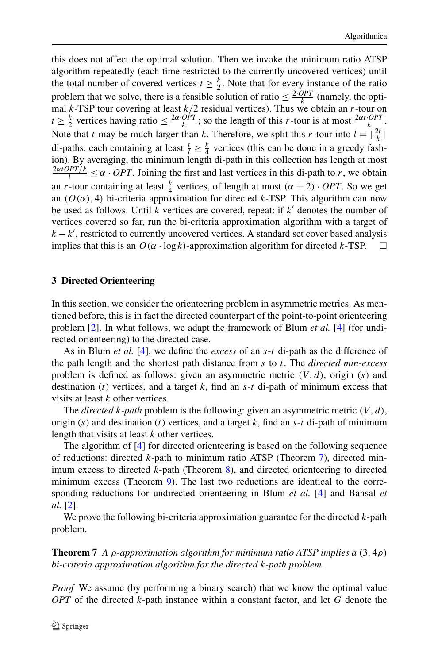this does not affect the optimal solution. Then we invoke the minimum ratio ATSP algorithm repeatedly (each time restricted to the currently uncovered vertices) until the total number of covered vertices  $t \geq \frac{k}{2}$ . Note that for every instance of the ratio problem that we solve, there is a feasible solution of ratio  $\leq \frac{2.OPT}{k}$  (namely, the optimal *k*-TSP tour covering at least  $k/2$  residual vertices). Thus we obtain an *r*-tour on  $t \geq \frac{k}{2}$  vertices having ratio  $\leq \frac{2\alpha \cdot OPT}{k}$ ; so the length of this *r*-tour is at most  $\frac{2\alpha t \cdot OPT}{k}$ . Note that *t* may be much larger than *k*. Therefore, we split this *r*-tour into  $l = \lceil \frac{2t}{k} \rceil$ di-paths, each containing at least  $\frac{t}{l} \geq \frac{k}{4}$  vertices (this can be done in a greedy fashion). By averaging, the minimum length di-path in this collection has length at most  $\frac{2\alpha tOPT/k}{l} \leq \alpha \cdot OPT$ . Joining the first and last vertices in this di-path to *r*, we obtain an *r*-tour containing at least  $\frac{k}{4}$  vertices, of length at most  $(\alpha + 2) \cdot OPT$ . So we get an  $(O(\alpha), 4)$  bi-criteria approximation for directed *k*-TSP. This algorithm can now be used as follows. Until *k* vertices are covered, repeat: if *k* denotes the number of vertices covered so far, run the bi-criteria approximation algorithm with a target of  $k - k'$ , restricted to currently uncovered vertices. A standard set cover based analysis implies that this is an  $O(\alpha \cdot \log k)$ -approximation algorithm for directed *k*-TSP.

#### <span id="page-9-0"></span>**3 Directed Orienteering**

In this section, we consider the orienteering problem in asymmetric metrics. As mentioned before, this is in fact the directed counterpart of the point-to-point orienteering problem [\[2](#page-12-2)]. In what follows, we adapt the framework of Blum *et al.* [\[4](#page-12-0)] (for undirected orienteering) to the directed case.

As in Blum *et al.* [[4\]](#page-12-0), we define the *excess* of an *s*-*t* di-path as the difference of the path length and the shortest path distance from *s* to *t*. The *directed min-excess* problem is defined as follows: given an asymmetric metric *(V,d)*, origin (*s*) and destination (*t*) vertices, and a target *k*, find an *s*-*t* di-path of minimum excess that visits at least *k* other vertices.

The *directed k-path* problem is the following: given an asymmetric metric *(V,d)*, origin (*s*) and destination (*t*) vertices, and a target *k*, find an *s*-*t* di-path of minimum length that visits at least *k* other vertices.

<span id="page-9-1"></span>The algorithm of [[4\]](#page-12-0) for directed orienteering is based on the following sequence of reductions: directed *k*-path to minimum ratio ATSP (Theorem [7](#page-9-1)), directed minimum excess to directed *k*-path (Theorem [8](#page-10-0)), and directed orienteering to directed minimum excess (Theorem [9](#page-10-1)). The last two reductions are identical to the corresponding reductions for undirected orienteering in Blum *et al.* [\[4](#page-12-0)] and Bansal *et al.* [[2\]](#page-12-2).

We prove the following bi-criteria approximation guarantee for the directed *k*-path problem.

**Theorem 7** *A ρ-approximation algorithm for minimum ratio ATSP implies a (*3*,* 4*ρ) bi-criteria approximation algorithm for the directed k-path problem*.

*Proof* We assume (by performing a binary search) that we know the optimal value *OPT* of the directed *k*-path instance within a constant factor, and let *G* denote the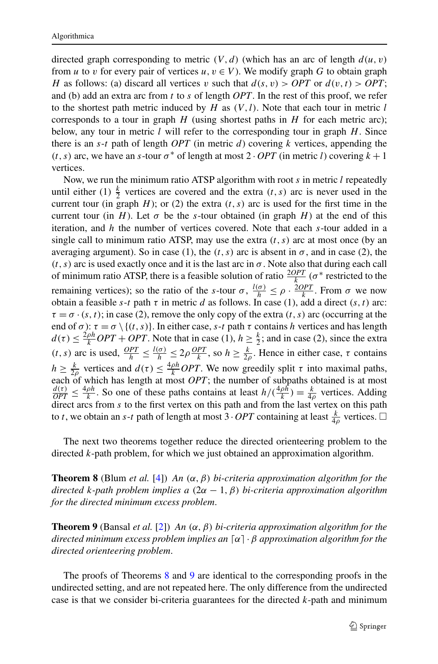directed graph corresponding to metric  $(V, d)$  (which has an arc of length  $d(u, v)$ ) from *u* to *v* for every pair of vertices *u*,  $v \in V$ ). We modify graph *G* to obtain graph *H* as follows: (a) discard all vertices *v* such that  $d(s, v) > OPT$  or  $d(v, t) > OPT$ ; and (b) add an extra arc from *t* to *s* of length *OPT*. In the rest of this proof, we refer to the shortest path metric induced by *H* as *(V,l)*. Note that each tour in metric *l* corresponds to a tour in graph *H* (using shortest paths in *H* for each metric arc); below, any tour in metric *l* will refer to the corresponding tour in graph *H*. Since there is an *s*-*t* path of length *OPT* (in metric *d*) covering *k* vertices, appending the  $(t, s)$  arc, we have an *s*-tour  $\sigma^*$  of length at most  $2 \cdot OPT$  (in metric *l*) covering  $k + 1$ vertices.

Now, we run the minimum ratio ATSP algorithm with root *s* in metric *l* repeatedly until either (1)  $\frac{k}{2}$  vertices are covered and the extra  $(t, s)$  arc is never used in the current tour (in graph  $H$ ); or (2) the extra  $(t, s)$  arc is used for the first time in the current tour (in *H*). Let  $\sigma$  be the *s*-tour obtained (in graph *H*) at the end of this iteration, and *h* the number of vertices covered. Note that each *s*-tour added in a single call to minimum ratio ATSP, may use the extra  $(t, s)$  arc at most once (by an averaging argument). So in case (1), the  $(t, s)$  arc is absent in  $\sigma$ , and in case (2), the  $(t, s)$  arc is used exactly once and it is the last arc in  $\sigma$ . Note also that during each call of minimum ratio ATSP, there is a feasible solution of ratio  $\frac{2OPT}{k}$  ( $\sigma^*$  restricted to the remaining vertices); so the ratio of the *s*-tour *σ*,  $\frac{l(\sigma)}{h} \le \rho \cdot \frac{2OPT}{k}$ . From *σ* we now obtain a feasible *s*-*t* path *τ* in metric *d* as follows. In case (1), add a direct  $(s, t)$  arc:  $\tau = \sigma \cdot (s, t)$ ; in case (2), remove the only copy of the extra  $(t, s)$  arc (occurring at the end of  $\sigma$ ):  $\tau = \sigma \setminus \{(t, s)\}\)$ . In either case, *s*-*t* path  $\tau$  contains *h* vertices and has length  $d(\tau) \leq \frac{2\rho h}{k} OPT + OPT$ . Note that in case (1),  $h \geq \frac{k}{2}$ ; and in case (2), since the extra *(t, s)* arc is used,  $\frac{OPT}{h} \leq \frac{l(\sigma)}{h} \leq 2\rho \frac{OPT}{k}$ , so  $h \geq \frac{k}{2\rho}$ . Hence in either case,  $\tau$  contains *h*  $\geq \frac{k}{2\rho}$  vertices and  $d(\tau) \leq \frac{4\rho h}{k}$  *OPT*. We now greedily split  $\tau$  into maximal paths, each of which has length at most *OPT*; the number of subpaths obtained is at most  $\frac{d(\tau)}{OPT} \leq \frac{4\rho h}{k}$ . So one of these paths contains at least  $h/(\frac{4\rho h}{k}) = \frac{k}{4\rho}$  vertices. Adding  $\frac{\partial F}{\partial t} = -\frac{1}{\alpha}$  direct arcs from *s* to the first vertex on this path and from the last vertex on this path to *t*, we obtain an *s*-*t* path of length at most 3 · *OPT* containing at least  $\frac{k}{4\rho}$  vertices.  $\Box$ 

<span id="page-10-1"></span><span id="page-10-0"></span>The next two theorems together reduce the directed orienteering problem to the directed *k*-path problem, for which we just obtained an approximation algorithm.

**Theorem 8** (Blum *et al.* [\[4](#page-12-0)]) *An (α,β) bi-criteria approximation algorithm for the directed k-path problem implies a (*2*α* − 1*,β) bi-criteria approximation algorithm for the directed minimum excess problem*.

**Theorem 9** (Bansal *et al.* [\[2](#page-12-2)]) *An (α,β) bi-criteria approximation algorithm for the directed minimum excess problem implies an α*· *β approximation algorithm for the directed orienteering problem*.

The proofs of Theorems [8](#page-10-0) and [9](#page-10-1) are identical to the corresponding proofs in the undirected setting, and are not repeated here. The only difference from the undirected case is that we consider bi-criteria guarantees for the directed *k*-path and minimum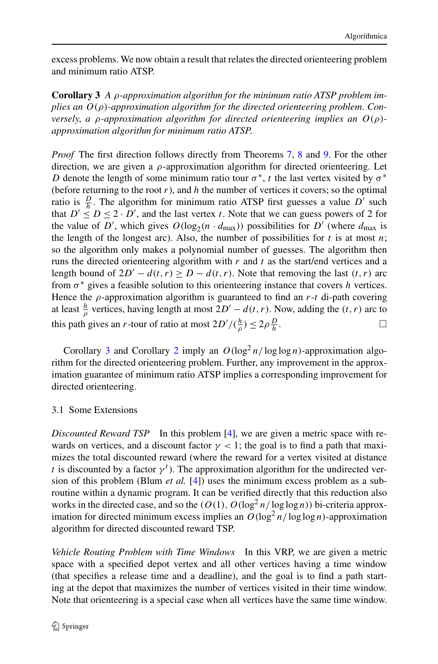<span id="page-11-1"></span>excess problems. We now obtain a result that relates the directed orienteering problem and minimum ratio ATSP.

**Corollary 3** *A ρ-approximation algorithm for the minimum ratio ATSP problem implies an O(ρ)-approximation algorithm for the directed orienteering problem*. *Conversely*, *a ρ-approximation algorithm for directed orienteering implies an O(ρ) approximation algorithm for minimum ratio ATSP*.

*Proof* The first direction follows directly from Theorems [7,](#page-9-1) [8](#page-10-0) and [9.](#page-10-1) For the other direction, we are given a *ρ*-approximation algorithm for directed orienteering. Let *D* denote the length of some minimum ratio tour  $\sigma^*$ , *t* the last vertex visited by  $\sigma^*$ (before returning to the root  $r$ ), and  $h$  the number of vertices it covers; so the optimal ratio is  $\frac{D}{h}$ . The algorithm for minimum ratio ATSP first guesses a value *D*<sup>'</sup> such that  $D' \leq D \leq 2 \cdot D'$ , and the last vertex *t*. Note that we can guess powers of 2 for the value of *D*<sup>'</sup>, which gives  $O(log_2(n \cdot d_{max}))$  possibilities for *D*<sup>'</sup> (where  $d_{max}$  is the length of the longest arc). Also, the number of possibilities for  $t$  is at most  $n$ ; so the algorithm only makes a polynomial number of guesses. The algorithm then runs the directed orienteering algorithm with *r* and *t* as the start/end vertices and a length bound of  $2D' - d(t, r) \ge D - d(t, r)$ . Note that removing the last  $(t, r)$  arc from *σ*<sup>∗</sup> gives a feasible solution to this orienteering instance that covers *h* vertices. Hence the *ρ*-approximation algorithm is guaranteed to find an *r*-*t* di-path covering at least  $\frac{h}{\rho}$  vertices, having length at most  $2D' - d(t, r)$ . Now, adding the  $(t, r)$  arc to this path gives an *r*-tour of ratio at most  $2D' / (\frac{h}{\rho}) \le 2\rho \frac{D}{h}$  $\frac{D}{h}$ .

<span id="page-11-0"></span>Corollary [3](#page-11-1) and Corollary [2](#page-8-1) imply an  $O(log^2 n/log \log n)$ -approximation algorithm for the directed orienteering problem. Further, any improvement in the approximation guarantee of minimum ratio ATSP implies a corresponding improvement for directed orienteering.

# 3.1 Some Extensions

*Discounted Reward TSP* In this problem [\[4](#page-12-0)], we are given a metric space with rewards on vertices, and a discount factor  $\gamma$  < 1; the goal is to find a path that maximizes the total discounted reward (where the reward for a vertex visited at distance *t* is discounted by a factor  $\gamma$ <sup>*t*</sup>). The approximation algorithm for the undirected version of this problem (Blum *et al.* [[4\]](#page-12-0)) uses the minimum excess problem as a subroutine within a dynamic program. It can be verified directly that this reduction also works in the directed case, and so the  $(O(1), O(\log^2 n / \log \log n))$  bi-criteria approximation for directed minimum excess implies an  $O(\log^2 n / \log \log n)$ -approximation algorithm for directed discounted reward TSP.

*Vehicle Routing Problem with Time Windows* In this VRP, we are given a metric space with a specified depot vertex and all other vertices having a time window (that specifies a release time and a deadline), and the goal is to find a path starting at the depot that maximizes the number of vertices visited in their time window. Note that orienteering is a special case when all vertices have the same time window.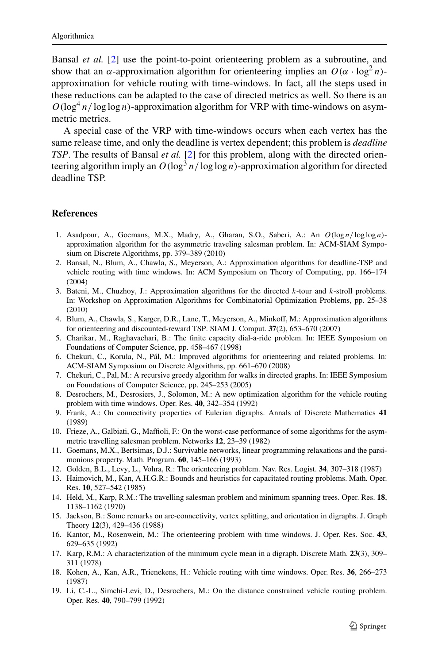Bansal *et al.* [\[2](#page-12-2)] use the point-to-point orienteering problem as a subroutine, and show that an  $\alpha$ -approximation algorithm for orienteering implies an  $O(\alpha \cdot \log^2 n)$ approximation for vehicle routing with time-windows. In fact, all the steps used in these reductions can be adapted to the case of directed metrics as well. So there is an  $O(\log^4 n/\log \log n)$ -approximation algorithm for VRP with time-windows on asymmetric metrics.

<span id="page-12-11"></span><span id="page-12-2"></span>A special case of the VRP with time-windows occurs when each vertex has the same release time, and only the deadline is vertex dependent; this problem is *deadline TSP*. The results of Bansal *et al.* [\[2](#page-12-2)] for this problem, along with the directed orienteering algorithm imply an  $O(\log^3 n / \log \log n)$ -approximation algorithm for directed deadline TSP.

# <span id="page-12-16"></span><span id="page-12-0"></span>**References**

- <span id="page-12-9"></span>1. Asadpour, A., Goemans, M.X., Madry, A., Gharan, S.O., Saberi, A.: An *O(*log *n/* log log *n)* approximation algorithm for the asymmetric traveling salesman problem. In: ACM-SIAM Symposium on Discrete Algorithms, pp. 379–389 (2010)
- <span id="page-12-15"></span>2. Bansal, N., Blum, A., Chawla, S., Meyerson, A.: Approximation algorithms for deadline-TSP and vehicle routing with time windows. In: ACM Symposium on Theory of Computing, pp. 166–174 (2004)
- <span id="page-12-6"></span><span id="page-12-1"></span>3. Bateni, M., Chuzhoy, J.: Approximation algorithms for the directed *k*-tour and *k*-stroll problems. In: Workshop on Approximation Algorithms for Combinatorial Optimization Problems, pp. 25–38 (2010)
- <span id="page-12-13"></span>4. Blum, A., Chawla, S., Karger, D.R., Lane, T., Meyerson, A., Minkoff, M.: Approximation algorithms for orienteering and discounted-reward TSP. SIAM J. Comput. **37**(2), 653–670 (2007)
- <span id="page-12-10"></span>5. Charikar, M., Raghavachari, B.: The finite capacity dial-a-ride problem. In: IEEE Symposium on Foundations of Computer Science, pp. 458–467 (1998)
- <span id="page-12-18"></span>6. Chekuri, C., Korula, N., Pál, M.: Improved algorithms for orienteering and related problems. In: ACM-SIAM Symposium on Discrete Algorithms, pp. 661–670 (2008)
- <span id="page-12-5"></span>7. Chekuri, C., Pal, M.: A recursive greedy algorithm for walks in directed graphs. In: IEEE Symposium on Foundations of Computer Science, pp. 245–253 (2005)
- <span id="page-12-3"></span>8. Desrochers, M., Desrosiers, J., Solomon, M.: A new optimization algorithm for the vehicle routing problem with time windows. Oper. Res. **40**, 342–354 (1992)
- <span id="page-12-17"></span>9. Frank, A.: On connectivity properties of Eulerian digraphs. Annals of Discrete Mathematics **41** (1989)
- <span id="page-12-14"></span>10. Frieze, A., Galbiati, G., Maffioli, F.: On the worst-case performance of some algorithms for the asymmetric travelling salesman problem. Networks **12**, 23–39 (1982)
- <span id="page-12-7"></span>11. Goemans, M.X., Bertsimas, D.J.: Survivable networks, linear programming relaxations and the parsimonious property. Math. Program. **60**, 145–166 (1993)
- <span id="page-12-12"></span>12. Golden, B.L., Levy, L., Vohra, R.: The orienteering problem. Nav. Res. Logist. **34**, 307–318 (1987)
- <span id="page-12-8"></span>13. Haimovich, M., Kan, A.H.G.R.: Bounds and heuristics for capacitated routing problems. Math. Oper. Res. **10**, 527–542 (1985)
- <span id="page-12-4"></span>14. Held, M., Karp, R.M.: The travelling salesman problem and minimum spanning trees. Oper. Res. **18**, 1138–1162 (1970)
- 15. Jackson, B.: Some remarks on arc-connectivity, vertex splitting, and orientation in digraphs. J. Graph Theory **12**(3), 429–436 (1988)
- 16. Kantor, M., Rosenwein, M.: The orienteering problem with time windows. J. Oper. Res. Soc. **43**, 629–635 (1992)
- 17. Karp, R.M.: A characterization of the minimum cycle mean in a digraph. Discrete Math. **23**(3), 309– 311 (1978)
- 18. Kohen, A., Kan, A.R., Trienekens, H.: Vehicle routing with time windows. Oper. Res. **36**, 266–273 (1987)
- 19. Li, C.-L., Simchi-Levi, D., Desrochers, M.: On the distance constrained vehicle routing problem. Oper. Res. **40**, 790–799 (1992)